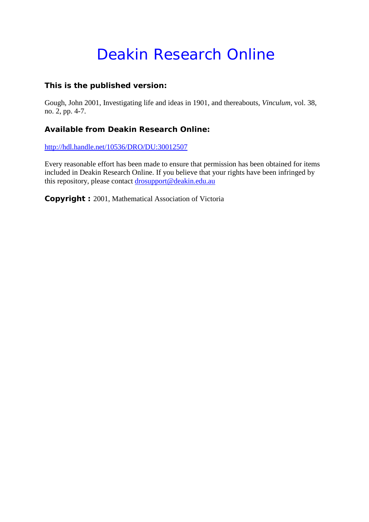# Deakin Research Online

#### **This is the published version:**

Gough, John 2001, Investigating life and ideas in 1901, and thereabouts*, Vinculum*, vol. 38, no. 2, pp. 4-7.

#### **Available from Deakin Research Online:**

<http://hdl.handle.net/10536/DRO/DU:30012507>

Every reasonable effort has been made to ensure that permission has been obtained for items included in Deakin Research Online. If you believe that your rights have been infringed by this repository, please contact [drosupport@deakin.edu.au](mailto:drosupport@deakin.edu.au)

**Copyright :** 2001, Mathematical Association of Victoria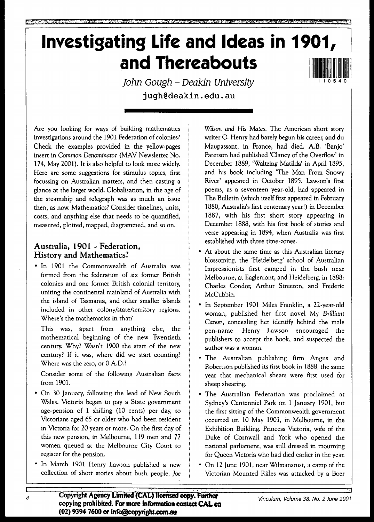# **Investigating Life and Ideas in 1901, and Thereabouts**

John Gough - Deakin University **jugh@deakin.edu.au**

Are you looking for ways of building mathematics investigations around the 1901 Federation of colonies? Check the examples provided in the yellow-pages insert in *Common Denominator* (MAV Newsletter No. 174, May 2001). It is also helpful to look more widely. Here are some suggestions for stimulus topics, first focussing on Australian matters, and then casting a glance at the larger world. Globalisation, in the age of the steamship and telegraph was as much an issue then, as now. Mathematics? Consider timelines, units, costs, and anything else that needs to be quantified, measured, plotted, mapped, diagrammed, and so on.

## **Australia, 1901 .. Federation, History and Mathematics?**

• In 1901 the Commonwealth of Australia was formed from the federation of six former British colonies and one former British colonial territory, uniting the continental mainland of Australia with the island of Tasmania, and other smaller islands included in other colony/state/territory regions. Where's the mathematics in that?

This was, apart from anything else, the mathematical beginning of the new Twentieth century. Why? Wasn't 1900 the start of the new century? If it was, where did we start counting? Where was the zero, or 0 A.D.?

Consider some of the following Australian facts from 1901.

- On 30 January, following the lead of New South Wales, Victoria began to pay a State government age-pension of 1 shilling (10 cents) per day, to Victorians aged 65 or older who had been resident in Victoria for 20 years or more. On the first day of this new pension, in Melbourne, 119 men and 77 women queued at the Melbourne City Court to register for the pension.
- In March 1901 Henry Lawson published a new collection of short stories about bush people, *loe*

*mlson and His Mates.* The American short story writer O. Henry had barely begun his career, and du Maupassant, in France, had died. A.B. 'Banjo' Paterson had published 'Clancy of the Overflow' in December 1889, 'Waltzing Matilda' in April 1895, and his book including 'The Man From Snowy River' appeared in October 1895. Lawson's first poems, as a seventeen year-old, had appeared in The Bulletin (which itself first appeared in February 1880, Australia's first centenary year!) in December 1887, with his first short story appearing in December 1888, with his first book of stories and verse appearing in 1894, when Australia was first established with three time-zones.

- At about the same time as this Australian literary blossoming, the 'Heidelberg' school of Australian Impressionists first camped in the bush near Melbourne, at Eaglemont, and Heidelberg, in 1888: Charles Condor, Arthur Streeton, and Frederic McCubbin.
- In September 1901 Miles Franklin, a 22-year-old woman, published her first novel My *Brilliant Career,* concealing her identify behind the male pen-name. Henry Lawson encouraged the publishers to accept the book, and suspected the author was a woman.
- The Australian publishing firm Angus and Robertson published its first book in 1888, the same year that mechanical shears were first used for sheep shearing.
- The Australian Federation was proclaimed at Sydney's Centenniel Park on 1 January 1901, but the first sitting of the Commonwealth government occurred on 10 May 1901, in Melbourne, in the Exhibition Building. Princess Victoria, wife of the Duke of Cornwall and York who opened the national parliament, was still dressed in mourning for Queen Victoria who had died earlier in the year.
- On 12 June 1901, near Wilmansrust, a camp of the Victorian Mounted Rifles was attacked by a Boer

·1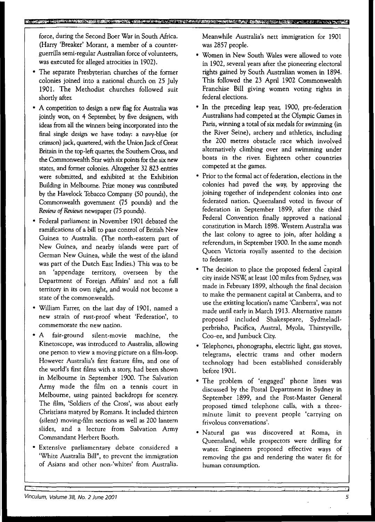force, during the Second Boer War in South Africa. (Harry 'Breaker' Morant, a member of a counterguerrilla semi-regular Australian force of volunteers, was executed for alleged atrocities in 1902).

- The separate Presbyterian churches of the former colonies joined into a national church on 25 July 1901. The Methodist churches followed suit shortly after.
- A competition to design a new flag for Australia was jointly won, on 4 September, by five designers, with ideas from all the winners being incorporated into the final single design we have today: a navy-blue (or crimson) jack, quartered, with the Union Jack of Great Britain in the top-left quarter, the Southern Cross, and the Commonwealth Star with six points for the six new states, and former colonies. Altogether 32 823 entries were submitted, and exhibited at the Exhibition Building in Melbourne. Prize money was contributed by the Havelock Tobacco Company (50 pounds), the Commonwealth government (75 pounds) and the *Review of Reviews* newspaper (75 pounds).
- Federal parliament in November 1901 debated the ramifications of a bill to pass control of British New Guinea to Australia. (The north-eastern part of New Guinea, and nearby islands were part of German New Guinea, while the west of the island was part of the Dutch East Indies.) This was to be an 'appendage territory, overseen by the Department of Foreign Affairs' and not a full territory in its own right, and would not become a state of the commonwealth.
- William Farrer, on the last day of 1901, named a new strain of rust-proof wheat 'Federation', to commemorate the new nation.
- A fair-ground silent-movie machine, the Kinetoscope, was introduced to Australia, allowing one person to view a moving picture on a film-loop. However Australia's first feature film, and one of the world's first films with a story, had been shown in Melbourne in September 1900. The Salvation Army made the film on a tennis court in Melbourne, using painted backdrops for scenery. The film, 'Soldiers of the Cross', was about early Christians matyred by Romans. It included thirteen (silent) moving-film sections as well as 200 lantern slides, and a lecture from Salvation Army Commandant Herbert Booth.
- Extensive parliamentary debate considered a 'White Australia Bill", to prevent the immigration of Asians and other non-'whites' from Australia.

Meanwhile Australia's nett immigration for 1901 was 2857 people.

- Women in New South Wales were allowed to vote in 1902, several years after the pioneering electoral rights gained by South Australian women in 1894. This followed the 23 April 1902 Commonwealth Franchise Bill giving women voting rights in federal elections.
- In the preceding leap year, 1900, pre-federation Australians had competed at the Olympic Games in Paris, winning a total of six medals for swimming (in the River Seine), archery and athletics, including the 200 metres obstacle race which involved alternatively climbing over and swimming under boats in the river. Eighteen other countries competed at the games.
- Prior to the formal act of federation, elections in the colonies had paved the way, by approving the joining together of independent colonies into one federated nation. Queensland voted in favour of federation in September 1899, after the third Federal Convention finally approved a national constitution in March 1898. Western Australia was the last colony to agree to join, after holding a referendum, in September 1900. In the same month Queen Victoria royally assented to the decision to federate.
- The decision to place the proposed federal capital city inside NSW:at least 100 miles from Sydney,was made in February 1899, although the final decision to make the permanent capital at Canberra, and to use the existing location's name 'Canberra', was not made until early in March 1913. Alternative names proposed included Shakespeare, Sydmeladlperbrisho, Pacifica, Austral, Myola, Thirsryville, Coo-ee, and ]umbuck City.
- Telephones, phonographs, electric light, gas stoves, telegrams, electric trams and other modern technology had been established considerably before 1901.
- The problem of 'engaged' phone lines was discussed by the Postal Department in Sydney in September 1899, and the Post-Master General proposed timed telephone calls, with a threeminute limit to prevent people 'carrying on frivolous conversations'.
- Natural gas was discovered at Roma, in Queensland, while prospectors were drilling for water. Engineers proposed effective ways of removing the gas and rendering the water fit for human consumption.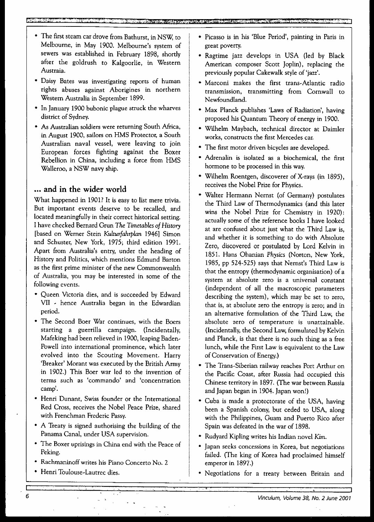- The first steam car drove from Bathurst, in NSW, to Melbourne, in May 1900. Melbourne's system of sewers was established in February 1898, shortly after the goldrush to Kalgoorlie, in Western Austraia.
- Daisy Bates was investigating reports of human rights abuses against Aborigines in northern Western Australia in September 1899.
- In January 1900 bubonic plague struck the wharves district of Sydney.
- As Australian soldiers were returning South Africa, in August 1900, sailors on HMS Protector, a South Australian naval vessel, were leaving to join European forces fighting against the Boxer Rebellion in China, including a force from HMS Walleroo, a NSW navy ship.

### **... and in the wider world**

What happened in 1901? It is easy to list mere trivia. But important events deserve to be recalled, and located meaningfully in their correct historical setting. I have checked Bernard Grun *The Timetables of History* [based on Werner Stein *KulturfahrpIan* 1946] Simon and Schuster, New York, 1975; third edition 1991. Apart from Australia's entry, under the heading of History and Politics, which mentions Edmund Barton as the first prime minister of the new Commonwealth of Australia, you may be interested in some of the following events.

- Queen Victoria dies, and is succeeded by Edward VII - hence Australia began in the Edwardian period.
- The Second Beer War continues, with the Boers starting a guerrilla campaign. (Incidentally, Mafeking had been relieved in 1900, leaping Baden-Powell into international prominence, which later evolved into the Scouting Movement. Harry 'Breaker' Morant was executed by the British Army in 1902.) This Boer war led to the invention of terms such as 'commando' and 'concentration camp'.
- Henri Dunant, Swiss founder or the International Red Cross, receives the Nobel Peace Prize, shared with Frenchman Frederic Passy.
- A Treaty is signed authorising the building of the Panama Canal, under USA supervision.
- The Boxer uprisings in China end with the Peace of Peking.
- Rachmaninoff writes his Piano Concerto No. 2
- Henri Toulouse-Lautrec dies.
- Picasso is in his 'Blue Period', painting in Paris in great poverty.
- Ragtime jazz develops in USA (led by Black American composer Scott [oplin), replacing the previously popular Cakewalk style of 'jazz',
- Marconi makes the first trans-Atlantic radio transmission, transmitting from Cornwall to Newfoundland.
- Max Planck publishes 'Laws of Radiation', having proposed his Quantum Theory of energy in 1900.
- Wilhelm Mavbach, technical director at Daimler works, constructs the first Mercedes car.
- The first motor driven bicycles are developed.
- Adrenalin is isolated as a biochemical, the first hormone to be processed in this way.
- Wilhelm Roentgen, discoverer of X-rays (in 1895), receives the Nobel Prize for Physics.
- WaIter Hermann Nernst (of Germany) postulates the Third Law of Thermodynamics (and this later wins the Nobel Prize for Chemistry in 1920): actually some of the reference books I have looked at are confused about just what the Third Law is, and whether it is something to do with Absolute Zero, discovered or postulated by Lord Kelvin in 1851. Hans Ohanian *Physics* (Norton, New York, 1985, pp 524·525) says that Nernst's Third Law is that the entropy (thermodynamic organisation) of a system at absolute zero is a universal constant (independent of all the macroscopic parameters describing the system), which may be set to zero, that is, at absolute zero the entropy is zero; and in an alternative formulation of the Third Law, the absolute zero of temperature is unattainable. (Incidentally, the Second Law, formulated by Kelvin and Planck, is that there is no such thing as a free lunch, while the First Law is equivalent to the Law of Conservation of Energy.)
- The Trans-Siberian railway reaches Port Arthur on the Pacific Coast, after Russia had occupied this Chinese territory in 1897. (The war between Russia and Japan began in 1904. Japan wonl)
- Cuba is made a protectorate of the USA, having been a Spanish colony, but ceded to USA, along with the Philippines, Guam and Puerto Rico after Spain was defeated in the war of 1898.
- Rudyard Kipling writes his Indian novel *Kim.*

. , **<sup>0</sup> .:**

- Japan seeks concessions in Korea, but negotiations failed. (The king of Korea had proclaimed himself emperor in 1897.)
- Negotiations for a treaty between Britain and

6